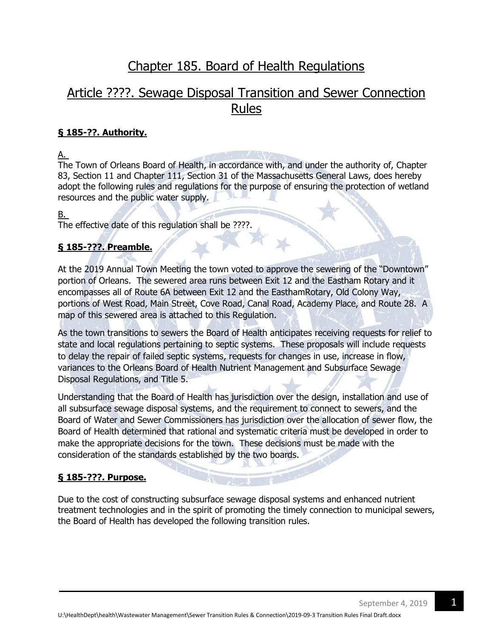# [Chapter 185. Board of Health Regulations](http://ecode360.com/print/OR1150?guid=14923935,14923909,14923912,14923913,14923914,14923945,14923959,14923965,14923992,14923993,14924000,14924004,14924005,14924008#14201580)

# [Article ????. Sewage Disposal Transition](http://ecode360.com/print/OR1150?guid=14923935,14923909,14923912,14923913,14923914,14923945,14923959,14923965,14923992,14923993,14924000,14924004,14924005,14924008#14923908) and Sewer Connection Rules

# **§ [185-??. Authority.](http://ecode360.com/print/OR1150?guid=14923935,14923909,14923912,14923913,14923914,14923945,14923959,14923965,14923992,14923993,14924000,14924004,14924005,14924008#14923909)**

[A.](http://ecode360.com/print/14923910#14923910)

The Town of Orleans Board of Health, in accordance with, and under the authority of, Chapter 83, Section 11 and Chapter 111, Section 31 of the Massachusetts General Laws, does hereby adopt the following rules and regulations for the purpose of ensuring the protection of wetland resources and the public water supply.

# [B.](http://ecode360.com/print/14923911#14923911)

The effective date of this regulation shall be ????.

# **§ [185-???. Preamble.](http://ecode360.com/print/OR1150?guid=14923935,14923909,14923912,14923913,14923914,14923945,14923959,14923965,14923992,14923993,14924000,14924004,14924005,14924008#14923912)**

At the 2019 Annual Town Meeting the town voted to approve the sewering of the "Downtown" portion of Orleans. The sewered area runs between Exit 12 and the Eastham Rotary and it encompasses all of Route 6A between Exit 12 and the EasthamRotary, Old Colony Way, portions of West Road, Main Street, Cove Road, Canal Road, Academy Place, and Route 28. A map of this sewered area is attached to this Regulation.

As the town transitions to sewers the Board of Health anticipates receiving requests for relief to state and local regulations pertaining to septic systems. These proposals will include requests to delay the repair of failed septic systems, requests for changes in use, increase in flow, variances to the Orleans Board of Health Nutrient Management and Subsurface Sewage Disposal Regulations, and Title 5.

Understanding that the Board of Health has jurisdiction over the design, installation and use of all subsurface sewage disposal systems, and the requirement to connect to sewers, and the Board of Water and Sewer Commissioners has jurisdiction over the allocation of sewer flow, the Board of Health determined that rational and systematic criteria must be developed in order to make the appropriate decisions for the town. These decisions must be made with the consideration of the standards established by the two boards.

# **§ [185-???. Purpose.](http://ecode360.com/print/OR1150?guid=14923935,14923909,14923912,14923913,14923914,14923945,14923959,14923965,14923992,14923993,14924000,14924004,14924005,14924008#14923913)**

Due to the cost of constructing subsurface sewage disposal systems and enhanced nutrient treatment technologies and in the spirit of promoting the timely connection to municipal sewers, the Board of Health has developed the following transition rules.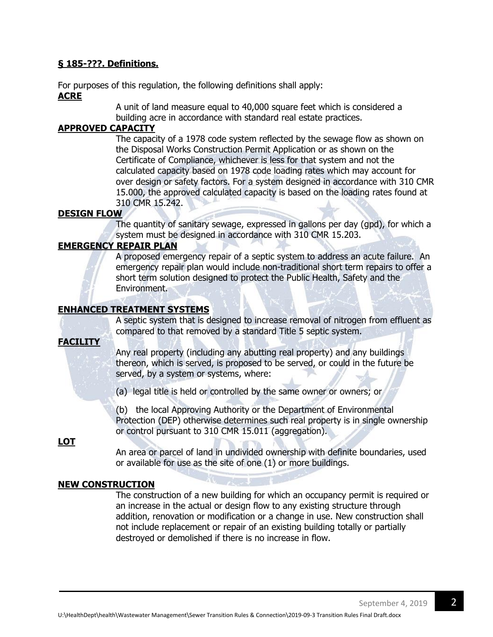#### **§ [185-???. Definitions.](http://ecode360.com/print/OR1150?guid=14923935,14923909,14923912,14923913,14923914,14923945,14923959,14923965,14923992,14923993,14924000,14924004,14924005,14924008#14923914)**

For purposes of this regulation, the following definitions shall apply: **ACRE**

> A unit of land measure equal to 40,000 square feet which is considered a building acre in accordance with standard real estate practices.

# **[APPROVED CAPACITY](http://ecode360.com/print/14923916#14923916)**

The capacity of a 1978 code system reflected by the sewage flow as shown on the Disposal Works Construction Permit Application or as shown on the Certificate of Compliance, whichever is less for that system and not the calculated capacity based on 1978 code loading rates which may account for over design or safety factors. For a system designed in accordance with 310 CMR 15.000, the approved calculated capacity is based on the loading rates found at 310 CMR 15.242.

#### **[DESIGN FLOW](http://ecode360.com/print/14923918#14923918)**

The quantity of sanitary sewage, expressed in gallons per day (gpd), for which a system must be designed in accordance with 310 CMR 15.203.

# **EMERGENCY REPAIR PLAN**

A proposed emergency repair of a septic system to address an acute failure. An emergency repair plan would include non-traditional short term repairs to offer a short term solution designed to protect the Public Health, Safety and the Environment.

# **[ENHANCED TREATMENT SYSTEMS](http://ecode360.com/print/14923921#14923921)**

A septic system that is designed to increase removal of nitrogen from effluent as compared to that removed by a standard Title 5 septic system.

# **[FACILITY](http://ecode360.com/print/14923922#14923922)**

Any real property (including any abutting real property) and any buildings thereon, which is served, is proposed to be served, or could in the future be served, by a system or systems, where:

[\(a\)](http://ecode360.com/print/14923923#14923923) legal title is held or controlled by the same owner or owners; or

[\(b\)](http://ecode360.com/print/14923924#14923924) the local Approving Authority or the Department of Environmental Protection (DEP) otherwise determines such real property is in single ownership or control pursuant to 310 CMR 15.011 (aggregation).

# **[LOT](http://ecode360.com/print/14923925#14923925)**

An area or parcel of land in undivided ownership with definite boundaries, used or available for use as the site of one (1) or more buildings.

# **[NEW CONSTRUCTION](http://ecode360.com/print/14923927#14923927)**

The construction of a new building for which an occupancy permit is required or an increase in the actual or design flow to any existing structure through addition, renovation or modification or a change in use. New construction shall not include replacement or repair of an existing building totally or partially destroyed or demolished if there is no increase in flow.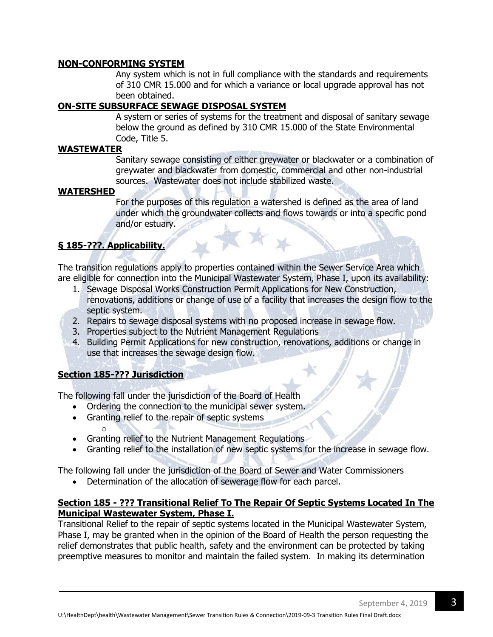#### **NON-CONFORMING SYSTEM**

Any system which is not in full compliance with the standards and requirements of 310 CMR 15.000 and for which a variance or local upgrade approval has not been obtained.

# **[ON-SITE SUBSURFACE SEWAGE DISPOSAL SYSTEM](http://ecode360.com/print/14923931#14923931)**

A system or series of systems for the treatment and disposal of sanitary sewage below the ground as defined by 310 CMR 15.000 of the State Environmental Code, Title 5.

#### **WASTEWATER**

Sanitary sewage consisting of either greywater or blackwater or a combination of greywater and blackwater from domestic, commercial and other non-industrial sources. Wastewater does not include stabilized waste.

#### **[WATERSHED](http://ecode360.com/print/14923934#14923934)**

For the purposes of this regulation a watershed is defined as the area of land under which the groundwater collects and flows towards or into a specific pond and/or estuary.

# **§ [185-???. Applicability.](http://ecode360.com/print/OR1150?guid=14923935,14923909,14923912,14923913,14923914,14923945,14923959,14923965,14923992,14923993,14924000,14924004,14924005,14924008#14923935)**

The transition regulations apply to properties contained within the Sewer Service Area which are eligible for connection into the Municipal Wastewater System, Phase I, upon its availability:

- 1. Sewage Disposal Works Construction Permit Applications for New Construction, renovations, additions or change of use of a facility that increases the design flow to the septic system.
- 2. Repairs to sewage disposal systems with no proposed increase in sewage flow.
- 3. Properties subject to the Nutrient Management Regulations
- 4. Building Permit Applications for new construction, renovations, additions or change in use that increases the sewage design flow.

# **Section 185-??? Jurisdiction**

The following fall under the jurisdiction of the Board of Health

- Ordering the connection to the municipal sewer system.
- Granting relief to the repair of septic systems
- o Granting relief to the Nutrient Management Regulations
- Granting relief to the installation of new septic systems for the increase in sewage flow.

The following fall under the jurisdiction of the Board of Sewer and Water Commissioners

Determination of the allocation of sewerage flow for each parcel.

#### **Section 185 - ??? Transitional Relief To The Repair Of Septic Systems Located In The Municipal Wastewater System, Phase I.**

Transitional Relief to the repair of septic systems located in the Municipal Wastewater System, Phase I, may be granted when in the opinion of the Board of Health the person requesting the relief demonstrates that public health, safety and the environment can be protected by taking preemptive measures to monitor and maintain the failed system. In making its determination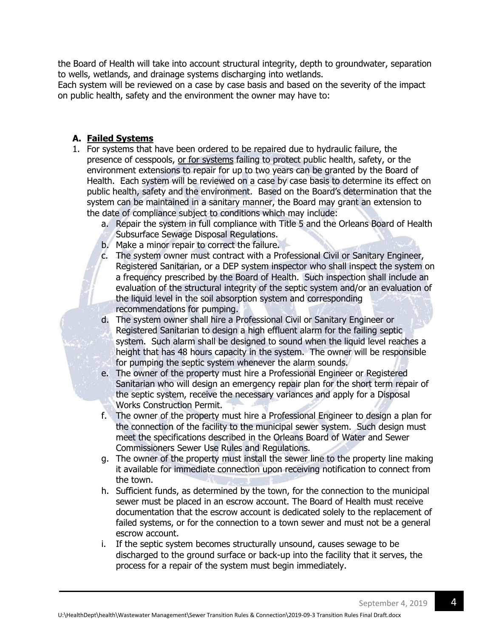the Board of Health will take into account structural integrity, depth to groundwater, separation to wells, wetlands, and drainage systems discharging into wetlands.

Each system will be reviewed on a case by case basis and based on the severity of the impact on public health, safety and the environment the owner may have to:

# **A. Failed Systems**

- 1. For systems that have been ordered to be repaired due to hydraulic failure, the presence of cesspools, or for systems failing to protect public health, safety, or the environment extensions to repair for up to two years can be granted by the Board of Health. Each system will be reviewed on a case by case basis to determine its effect on public health, safety and the environment. Based on the Board's determination that the system can be maintained in a sanitary manner, the Board may grant an extension to the date of compliance subject to conditions which may include:
	- a. Repair the system in full compliance with Title 5 and the Orleans Board of Health Subsurface Sewage Disposal Regulations.
	- b. Make a minor repair to correct the failure.
	- c. The system owner must contract with a Professional Civil or Sanitary Engineer, Registered Sanitarian, or a DEP system inspector who shall inspect the system on a frequency prescribed by the Board of Health. Such inspection shall include an evaluation of the structural integrity of the septic system and/or an evaluation of the liquid level in the soil absorption system and corresponding recommendations for pumping.
	- d. The system owner shall hire a Professional Civil or Sanitary Engineer or Registered Sanitarian to design a high effluent alarm for the failing septic system. Such alarm shall be designed to sound when the liquid level reaches a height that has 48 hours capacity in the system. The owner will be responsible for pumping the septic system whenever the alarm sounds.
	- e. The owner of the property must hire a Professional Engineer or Registered Sanitarian who will design an emergency repair plan for the short term repair of the septic system, receive the necessary variances and apply for a Disposal Works Construction Permit.
	- f. The owner of the property must hire a Professional Engineer to design a plan for the connection of the facility to the municipal sewer system. Such design must meet the specifications described in the Orleans Board of Water and Sewer Commissioners Sewer Use Rules and Regulations.
	- g. The owner of the property must install the sewer line to the property line making it available for immediate connection upon receiving notification to connect from the town.
	- h. Sufficient funds, as determined by the town, for the connection to the municipal sewer must be placed in an escrow account. The Board of Health must receive documentation that the escrow account is dedicated solely to the replacement of failed systems, or for the connection to a town sewer and must not be a general escrow account.
	- i. If the septic system becomes structurally unsound, causes sewage to be discharged to the ground surface or back-up into the facility that it serves, the process for a repair of the system must begin immediately.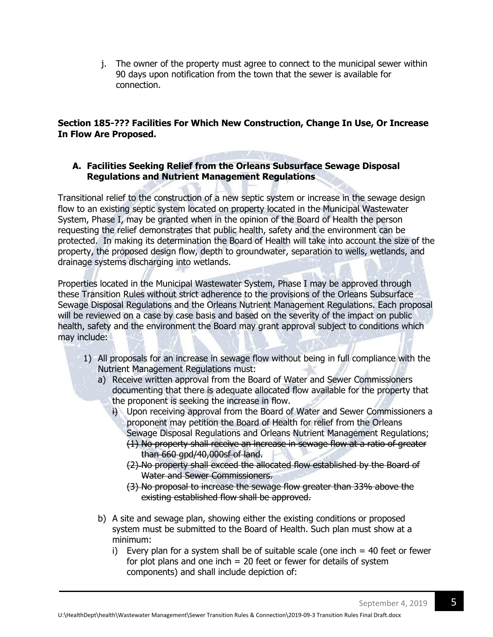j. The owner of the property must agree to connect to the municipal sewer within 90 days upon notification from the town that the sewer is available for connection.

# **Section 185-??? Facilities For Which New Construction, Change In Use, Or Increase In Flow Are Proposed.**

## **A. Facilities Seeking Relief from the Orleans Subsurface Sewage Disposal Regulations and Nutrient Management Regulations**

Transitional relief to the construction of a new septic system or increase in the sewage design flow to an existing septic system located on property located in the Municipal Wastewater System, Phase I, may be granted when in the opinion of the Board of Health the person requesting the relief demonstrates that public health, safety and the environment can be protected. In making its determination the Board of Health will take into account the size of the property, the proposed design flow, depth to groundwater, separation to wells, wetlands, and drainage systems discharging into wetlands.

Properties located in the Municipal Wastewater System, Phase I may be approved through these Transition Rules without strict adherence to the provisions of the Orleans Subsurface Sewage Disposal Regulations and the Orleans Nutrient Management Regulations. Each proposal will be reviewed on a case by case basis and based on the severity of the impact on public health, safety and the environment the Board may grant approval subject to conditions which may include:

- 1) All proposals for an increase in sewage flow without being in full compliance with the Nutrient Management Regulations must:
	- a) Receive written approval from the Board of Water and Sewer Commissioners documenting that there is adequate allocated flow available for the property that the proponent is seeking the increase in flow.
		- i) Upon receiving approval from the Board of Water and Sewer Commissioners a proponent may petition the Board of Health for relief from the Orleans Sewage Disposal Regulations and Orleans Nutrient Management Regulations;
			- (1) No property shall receive an increase in sewage flow at a ratio of greater than 660 gpd/40,000sf of land.
			- (2) No property shall exceed the allocated flow established by the Board of Water and Sewer Commissioners.
			- (3) No proposal to increase the sewage flow greater than 33% above the existing established flow shall be approved.
	- b) A site and sewage plan, showing either the existing conditions or proposed system must be submitted to the Board of Health. Such plan must show at a minimum:
		- i) Every plan for a system shall be of suitable scale (one inch  $=$  40 feet or fewer for plot plans and one inch  $= 20$  feet or fewer for details of system components) and shall include depiction of: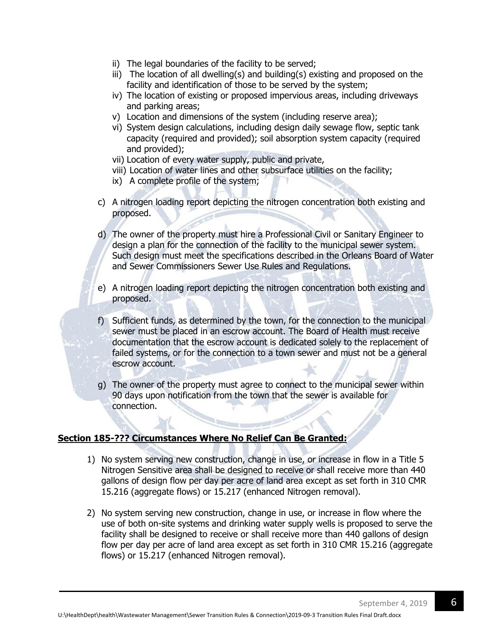- ii) The legal boundaries of the facility to be served;
- iii) The location of all dwelling(s) and building(s) existing and proposed on the facility and identification of those to be served by the system;
- iv) The location of existing or proposed impervious areas, including driveways and parking areas;
- v) Location and dimensions of the system (including reserve area);
- vi) System design calculations, including design daily sewage flow, septic tank capacity (required and provided); soil absorption system capacity (required and provided);
- vii) Location of every water supply, public and private,
- viii) Location of water lines and other subsurface utilities on the facility;
- ix) A complete profile of the system;
- c) A nitrogen loading report depicting the nitrogen concentration both existing and proposed.
- d) The owner of the property must hire a Professional Civil or Sanitary Engineer to design a plan for the connection of the facility to the municipal sewer system. Such design must meet the specifications described in the Orleans Board of Water and Sewer Commissioners Sewer Use Rules and Regulations.
- e) A nitrogen loading report depicting the nitrogen concentration both existing and proposed.
- f) Sufficient funds, as determined by the town, for the connection to the municipal sewer must be placed in an escrow account. The Board of Health must receive documentation that the escrow account is dedicated solely to the replacement of failed systems, or for the connection to a town sewer and must not be a general escrow account.
- g) The owner of the property must agree to connect to the municipal sewer within 90 days upon notification from the town that the sewer is available for connection.

#### **Section 185-??? Circumstances Where No Relief Can Be Granted:**

- 1) No system serving new construction, change in use, or increase in flow in a Title 5 Nitrogen Sensitive area shall be designed to receive or shall receive more than 440 gallons of design flow per day per acre of land area except as set forth in 310 CMR 15.216 (aggregate flows) or 15.217 (enhanced Nitrogen removal).
- 2) No system serving new construction, change in use, or increase in flow where the use of both on-site systems and drinking water supply wells is proposed to serve the facility shall be designed to receive or shall receive more than 440 gallons of design flow per day per acre of land area except as set forth in 310 CMR 15.216 (aggregate flows) or 15.217 (enhanced Nitrogen removal).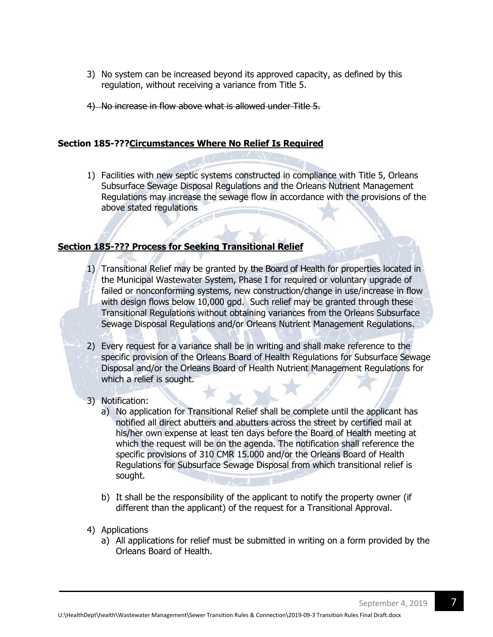- 3) No system can be increased beyond its approved capacity, as defined by this regulation, without receiving a variance from Title 5.
- 4) No increase in flow above what is allowed under Title 5.

#### **Section 185-???Circumstances Where No Relief Is Required**

1) Facilities with new septic systems constructed in compliance with Title 5, Orleans Subsurface Sewage Disposal Regulations and the Orleans Nutrient Management Regulations may increase the sewage flow in accordance with the provisions of the above stated regulations

#### **Section 185-??? Process for Seeking Transitional Relief**

- 1) Transitional Relief may be granted by the Board of Health for properties located in the Municipal Wastewater System, Phase I for required or voluntary upgrade of failed or nonconforming systems, new construction/change in use/increase in flow with design flows below 10,000 gpd. Such relief may be granted through these Transitional Regulations without obtaining variances from the Orleans Subsurface Sewage Disposal Regulations and/or Orleans Nutrient Management Regulations.
- 2) Every request for a variance shall be in writing and shall make reference to the specific provision of the Orleans Board of Health Regulations for Subsurface Sewage Disposal and/or the Orleans Board of Health Nutrient Management Regulations for which a relief is sought.
- 3) Notification:
	- a) No application for Transitional Relief shall be complete until the applicant has notified all direct abutters and abutters across the street by certified mail at his/her own expense at least ten days before the Board of Health meeting at which the request will be on the agenda. The notification shall reference the specific provisions of 310 CMR 15.000 and/or the Orleans Board of Health Regulations for Subsurface Sewage Disposal from which transitional relief is sought.
	- b) It shall be the responsibility of the applicant to notify the property owner (if different than the applicant) of the request for a Transitional Approval.
- 4) Applications
	- a) All applications for relief must be submitted in writing on a form provided by the Orleans Board of Health.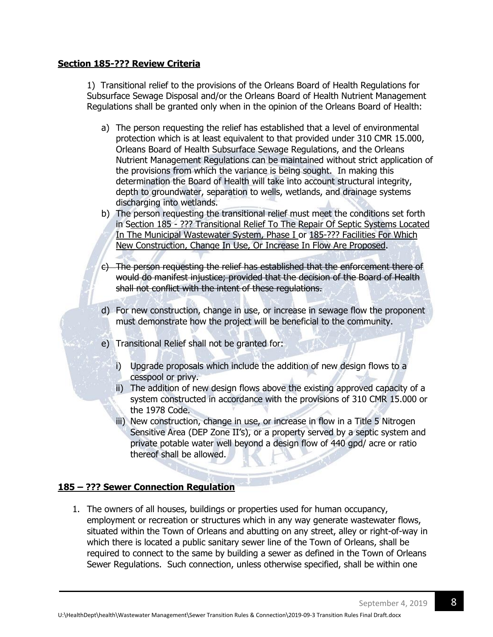#### **Section 185-??? Review Criteria**

[1\)](http://ecode360.com/print/14201817#14201817) Transitional relief to the provisions of the Orleans Board of Health Regulations for Subsurface Sewage Disposal and/or the Orleans Board of Health Nutrient Management Regulations shall be granted only when in the opinion of the Orleans Board of Health:

- a) The person requesting the relief has established that a level of environmental protection which is at least equivalent to that provided under 310 CMR 15.000, Orleans Board of Health Subsurface Sewage Regulations, and the Orleans Nutrient Management Regulations can be maintained without strict application of the provisions from which the variance is being sought. In making this determination the Board of Health will take into account structural integrity, depth to groundwater, separation to wells, wetlands, and drainage systems discharging into wetlands.
- b) The person requesting the transitional relief must meet the conditions set forth in Section 185 - ??? Transitional Relief To The Repair Of Septic Systems Located In The Municipal Wastewater System, Phase I or 185-??? Facilities For Which New Construction, Change In Use, Or Increase In Flow Are Proposed.
- c) The person requesting the relief has established that the enforcement there of would do manifest injustice; provided that the decision of the Board of Health shall not conflict with the intent of these regulations.
- d) For new construction, change in use, or increase in sewage flow the proponent must demonstrate how the project will be beneficial to the community.
- e) Transitional Relief shall not be granted for:
	- i) Upgrade proposals which include the addition of new design flows to a cesspool or privy.
	- ii) The addition of new design flows above the existing approved capacity of a system constructed in accordance with the provisions of 310 CMR 15.000 or the 1978 Code.
	- iii) New construction, change in use, or increase in flow in a Title 5 Nitrogen Sensitive Area (DEP Zone II's), or a property served by a septic system and private potable water well beyond a design flow of 440 gpd/ acre or ratio thereof shall be allowed.

# **185 – ??? Sewer Connection Regulation**

1. The owners of all houses, buildings or properties used for human occupancy, employment or recreation or structures which in any way generate wastewater flows, situated within the Town of Orleans and abutting on any street, alley or right-of-way in which there is located a public sanitary sewer line of the Town of Orleans, shall be required to connect to the same by building a sewer as defined in the Town of Orleans Sewer Regulations. Such connection, unless otherwise specified, shall be within one